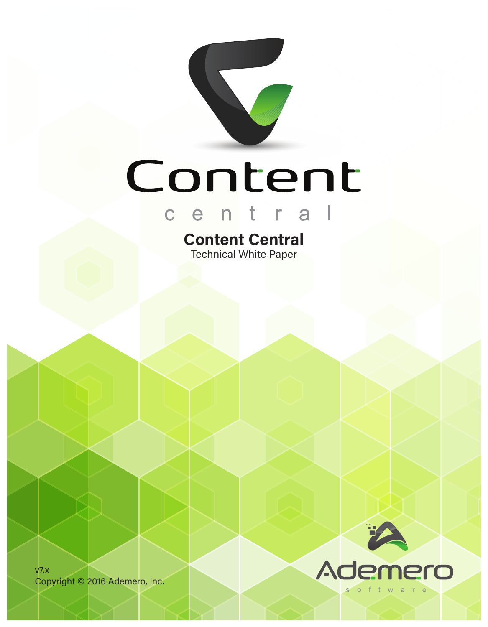

# Content

# central

### **Content Central** Technical White Paper

v7.x Copyright © 2016 Ademero, Inc.

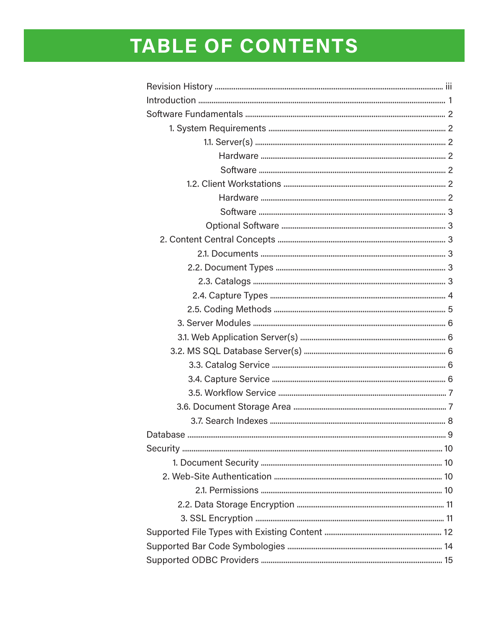## TABLE OF CONTENTS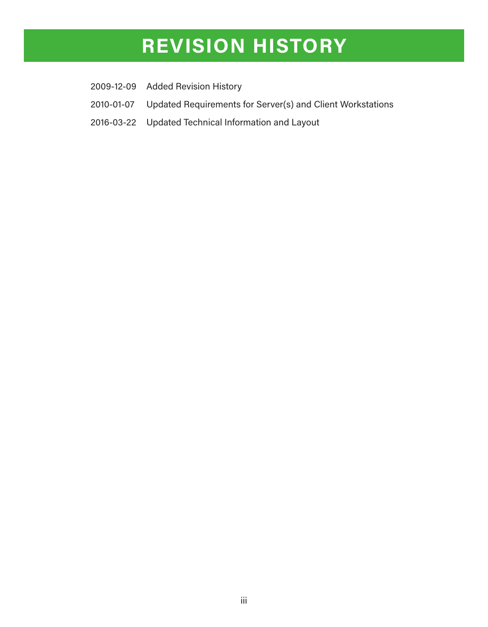### **REVISION HISTORY**

- 2009-12-09 Added Revision History
- 2010-01-07 Updated Requirements for Server(s) and Client Workstations
- 2016-03-22 Updated Technical Information and Layout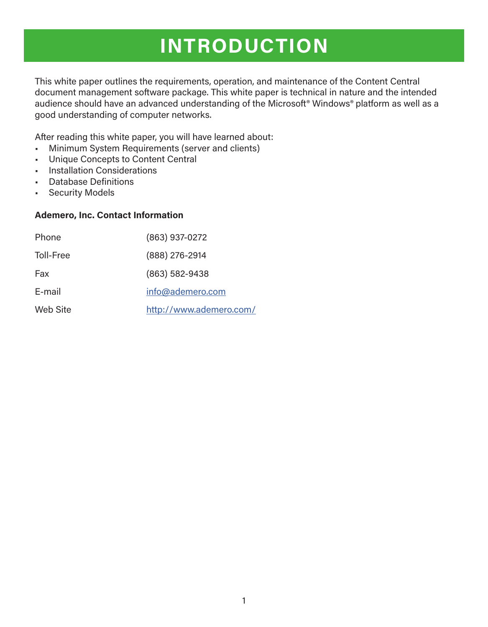## **INTRODUCTION**

This white paper outlines the requirements, operation, and maintenance of the Content Central document management software package. This white paper is technical in nature and the intended audience should have an advanced understanding of the Microsoft<sup>®</sup> Windows<sup>®</sup> platform as well as a good understanding of computer networks.

After reading this white paper, you will have learned about:

- Minimum System Requirements (server and clients)
- Unique Concepts to Content Central
- Installation Considerations
- Database Definitions
- Security Models

#### **Ademero, Inc. Contact Information**

| Phone     | (863) 937-0272          |
|-----------|-------------------------|
| Toll-Free | (888) 276-2914          |
| Fax       | (863) 582-9438          |
| E-mail    | info@ademero.com        |
| Web Site  | http://www.ademero.com/ |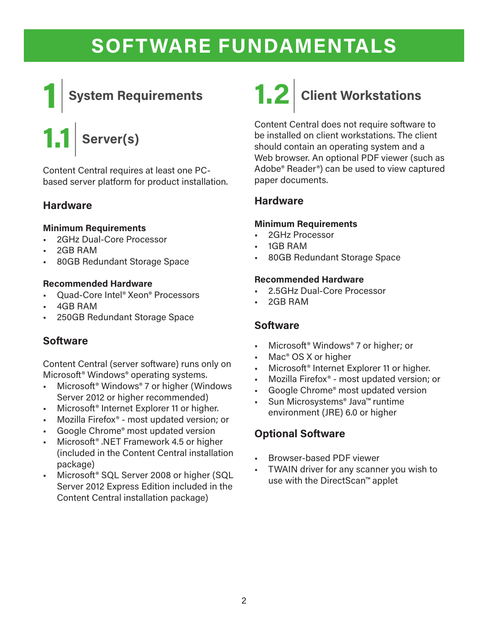

# **1.1**| **Server(s)**

Content Central requires at least one PCbased server platform for product installation.

### **Hardware**

### **Minimum Requirements**

- 2GHz Dual-Core Processor
- 2GB RAM
- 80GB Redundant Storage Space

#### **Recommended Hardware**

- Quad-Core Intel® Xeon® Processors
- 4GB RAM
- 250GB Redundant Storage Space

### **Software**

Content Central (server software) runs only on Microsoft® Windows® operating systems.

- Microsoft® Windows® 7 or higher (Windows Server 2012 or higher recommended)
- Microsoft® Internet Explorer 11 or higher.
- Mozilla Firefox® most updated version; or
- Google Chrome<sup>®</sup> most updated version
- Microsoft® .NET Framework 4.5 or higher (included in the Content Central installation package)
- Microsoft® SQL Server 2008 or higher (SQL Server 2012 Express Edition included in the Content Central installation package)



Content Central does not require software to be installed on client workstations. The client should contain an operating system and a Web browser. An optional PDF viewer (such as Adobe® Reader®) can be used to view captured paper documents.

### **Hardware**

#### **Minimum Requirements**

- 2GHz Processor
- 1GB RAM
- 80GB Redundant Storage Space

#### **Recommended Hardware**

- 2.5GHz Dual-Core Processor
- 2GB RAM

### **Software**

- Microsoft® Windows® 7 or higher; or
- Mac<sup>®</sup> OS X or higher
- Microsoft® Internet Explorer 11 or higher.
- Mozilla Firefox® most updated version; or
- Google Chrome<sup>®</sup> most updated version
- Sun Microsystems® Java™ runtime environment (JRE) 6.0 or higher

### **Optional Software**

- Browser-based PDF viewer
- TWAIN driver for any scanner you wish to use with the DirectScan™ applet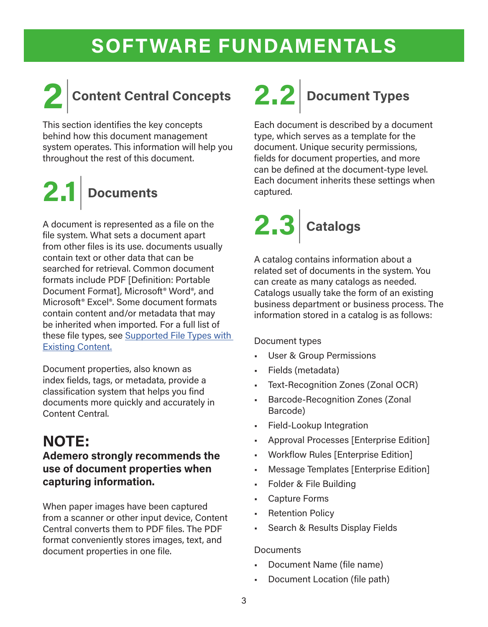

## **2**|**Content Central Concepts**

This section identifies the key concepts behind how this document management system operates. This information will help you throughout the rest of this document.

# **2.1**| **Documents**

A document is represented as a file on the file system. What sets a document apart from other files is its use. documents usually contain text or other data that can be searched for retrieval. Common document formats include PDF [Definition: Portable Document Format], Microsoft® Word®, and Microsoft® Excel®. Some document formats contain content and/or metadata that may be inherited when imported. For a full list of these file types, see Supported File Types with Existing Content.

Document properties, also known as index fields, tags, or metadata, provide a classification system that helps you find documents more quickly and accurately in Content Central.

### **NOTE:**

### **Ademero strongly recommends the use of document properties when capturing information.**

When paper images have been captured from a scanner or other input device, Content Central converts them to PDF files. The PDF format conveniently stores images, text, and document properties in one file.

## **2.2**| **Document Types**

Each document is described by a document type, which serves as a template for the document. Unique security permissions, fields for document properties, and more can be defined at the document-type level. Each document inherits these settings when captured.



A catalog contains information about a related set of documents in the system. You can create as many catalogs as needed. Catalogs usually take the form of an existing business department or business process. The information stored in a catalog is as follows:

### Document types

- User & Group Permissions
- Fields (metadata)
- Text-Recognition Zones (Zonal OCR)
- Barcode-Recognition Zones (Zonal Barcode)
- Field-Lookup Integration
- Approval Processes [Enterprise Edition]
- Workflow Rules [Enterprise Edition]
- Message Templates [Enterprise Edition]
- Folder & File Building
- Capture Forms
- **Retention Policy**
- Search & Results Display Fields

#### **Documents**

- Document Name (file name)
- Document Location (file path)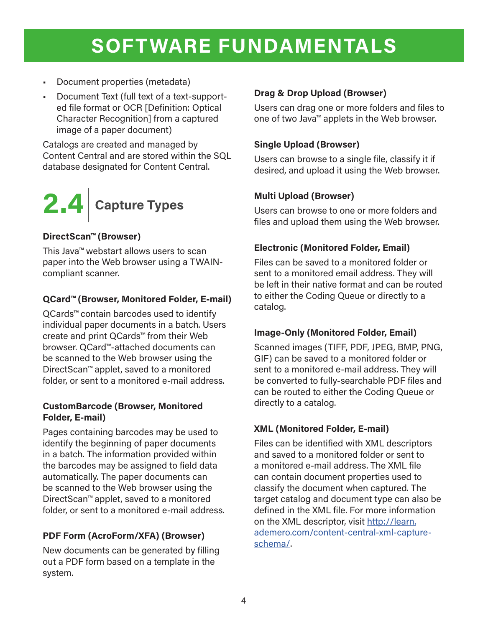- Document properties (metadata)
- Document Text (full text of a text-supported file format or OCR [Definition: Optical Character Recognition] from a captured image of a paper document)

Catalogs are created and managed by Content Central and are stored within the SQL database designated for Content Central.



### **DirectScan™ (Browser)**

This Java™ webstart allows users to scan paper into the Web browser using a TWAINcompliant scanner.

### **QCard™ (Browser, Monitored Folder, E-mail)**

QCards<sup>™</sup> contain barcodes used to identify individual paper documents in a batch. Users create and print QCards™ from their Web browser. QCard™-attached documents can be scanned to the Web browser using the DirectScan™ applet, saved to a monitored folder, or sent to a monitored e-mail address.

### **CustomBarcode (Browser, Monitored Folder, E-mail)**

Pages containing barcodes may be used to identify the beginning of paper documents in a batch. The information provided within the barcodes may be assigned to field data automatically. The paper documents can be scanned to the Web browser using the DirectScan™ applet, saved to a monitored folder, or sent to a monitored e-mail address.

### **PDF Form (AcroForm/XFA) (Browser)**

New documents can be generated by filling out a PDF form based on a template in the system.

### **Drag & Drop Upload (Browser)**

Users can drag one or more folders and files to one of two Java™ applets in the Web browser.

### **Single Upload (Browser)**

Users can browse to a single file, classify it if desired, and upload it using the Web browser.

### **Multi Upload (Browser)**

Users can browse to one or more folders and files and upload them using the Web browser.

### **Electronic (Monitored Folder, Email)**

Files can be saved to a monitored folder or sent to a monitored email address. They will be left in their native format and can be routed to either the Coding Queue or directly to a catalog.

### **Image-Only (Monitored Folder, Email)**

Scanned images (TIFF, PDF, JPEG, BMP, PNG, GIF) can be saved to a monitored folder or sent to a monitored e-mail address. They will be converted to fully-searchable PDF files and can be routed to either the Coding Queue or directly to a catalog.

### **XML (Monitored Folder, E-mail)**

Files can be identified with XML descriptors and saved to a monitored folder or sent to a monitored e-mail address. The XML file can contain document properties used to classify the document when captured. The target catalog and document type can also be defined in the XML file. For more information on the XML descriptor, visit http://learn. ademero.com/content-central-xml-captureschema/.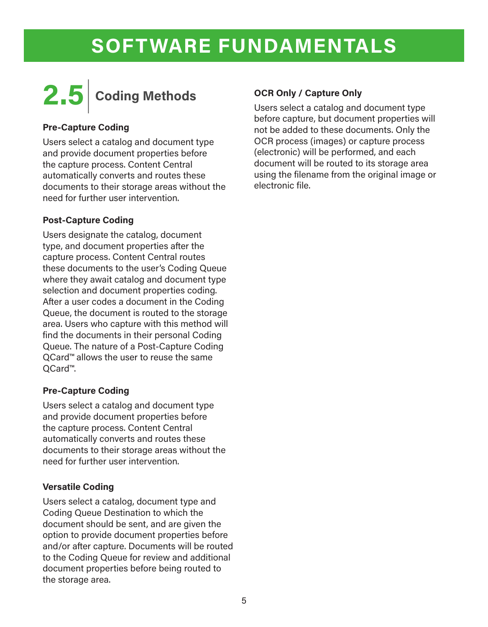

### **Pre-Capture Coding**

Users select a catalog and document type and provide document properties before the capture process. Content Central automatically converts and routes these documents to their storage areas without the need for further user intervention.

### **Post-Capture Coding**

Users designate the catalog, document type, and document properties after the capture process. Content Central routes these documents to the user's Coding Queue where they await catalog and document type selection and document properties coding. After a user codes a document in the Coding Queue, the document is routed to the storage area. Users who capture with this method will find the documents in their personal Coding Queue. The nature of a Post-Capture Coding QCard™ allows the user to reuse the same QCard™.

### **Pre-Capture Coding**

Users select a catalog and document type and provide document properties before the capture process. Content Central automatically converts and routes these documents to their storage areas without the need for further user intervention.

#### **Versatile Coding**

Users select a catalog, document type and Coding Queue Destination to which the document should be sent, and are given the option to provide document properties before and/or after capture. Documents will be routed to the Coding Queue for review and additional document properties before being routed to the storage area.

#### **OCR Only / Capture Only**

Users select a catalog and document type before capture, but document properties will not be added to these documents. Only the OCR process (images) or capture process (electronic) will be performed, and each document will be routed to its storage area using the filename from the original image or electronic file.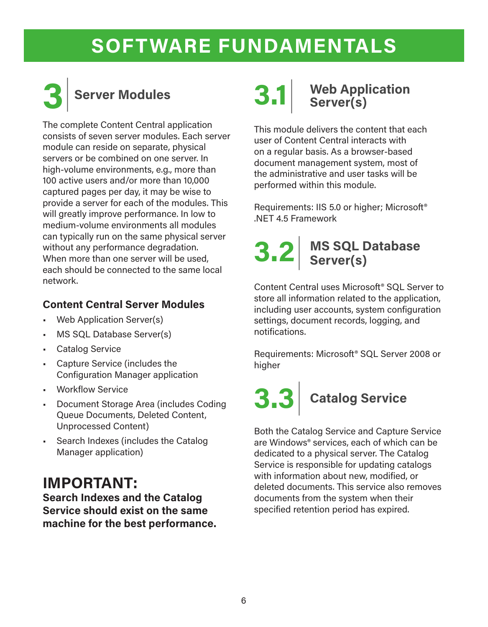

## **3**| **Server Modules**

The complete Content Central application consists of seven server modules. Each server module can reside on separate, physical servers or be combined on one server. In high-volume environments, e.g., more than 100 active users and/or more than 10,000 captured pages per day, it may be wise to provide a server for each of the modules. This will greatly improve performance. In low to medium-volume environments all modules can typically run on the same physical server without any performance degradation. When more than one server will be used, each should be connected to the same local network.

### **Content Central Server Modules**

- Web Application Server(s)
- MS SQL Database Server(s)
- Catalog Service
- Capture Service (includes the Configuration Manager application
- Workflow Service
- Document Storage Area (includes Coding Queue Documents, Deleted Content, Unprocessed Content)
- Search Indexes (includes the Catalog Manager application)

### **IMPORTANT:**

**Search Indexes and the Catalog Service should exist on the same machine for the best performance.**

## **3.1 Web Application** Server(s)

This module delivers the content that each user of Content Central interacts with on a regular basis. As a browser-based document management system, most of the administrative and user tasks will be performed within this module.

Requirements: IIS 5.0 or higher; Microsoft® .NET 4.5 Framework

### **3.2**| **MS SQL Database Server(s)**

Content Central uses Microsoft® SQL Server to store all information related to the application, including user accounts, system configuration settings, document records, logging, and notifications.

Requirements: Microsoft® SQL Server 2008 or higher

# **3.3**| **Catalog Service**

Both the Catalog Service and Capture Service are Windows® services, each of which can be dedicated to a physical server. The Catalog Service is responsible for updating catalogs with information about new, modified, or deleted documents. This service also removes documents from the system when their specified retention period has expired.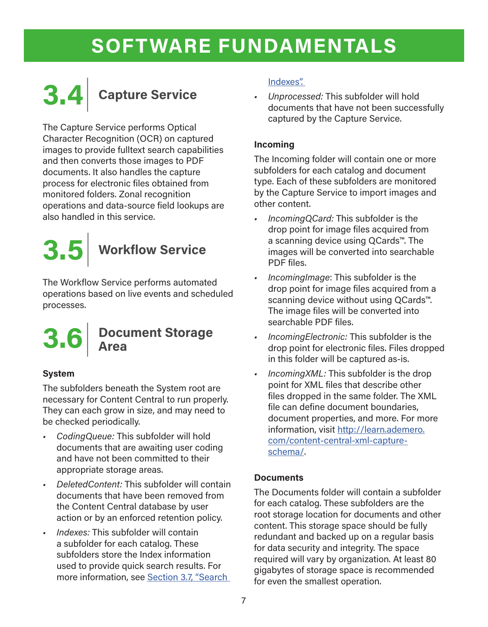

The Capture Service performs Optical Character Recognition (OCR) on captured images to provide fulltext search capabilities and then converts those images to PDF documents. It also handles the capture process for electronic files obtained from monitored folders. Zonal recognition operations and data-source field lookups are also handled in this service.



The Workflow Service performs automated operations based on live events and scheduled processes.

# **3.6**| **Document Storage Area**

### **System**

The subfolders beneath the System root are necessary for Content Central to run properly. They can each grow in size, and may need to be checked periodically.

- *• CodingQueue:* This subfolder will hold documents that are awaiting user coding and have not been committed to their appropriate storage areas.
- *• DeletedContent:* This subfolder will contain documents that have been removed from the Content Central database by user action or by an enforced retention policy.
- *• Indexes:* This subfolder will contain a subfolder for each catalog. These subfolders store the Index information used to provide quick search results. For more information, see Section 3.7, "Search

### Indexes".

*• Unprocessed:* This subfolder will hold documents that have not been successfully captured by the Capture Service.

### **Incoming**

The Incoming folder will contain one or more subfolders for each catalog and document type. Each of these subfolders are monitored by the Capture Service to import images and other content.

- *• IncomingQCard:* This subfolder is the drop point for image files acquired from a scanning device using QCards™. The images will be converted into searchable PDF files.
- *• IncomingImage*: This subfolder is the drop point for image files acquired from a scanning device without using QCards™. The image files will be converted into searchable PDF files.
- *• IncomingElectronic:* This subfolder is the drop point for electronic files. Files dropped in this folder will be captured as-is.
- *• IncomingXML:* This subfolder is the drop point for XML files that describe other files dropped in the same folder. The XML file can define document boundaries, document properties, and more. For more information, visit http://learn.ademero. com/content-central-xml-captureschema/.

### **Documents**

The Documents folder will contain a subfolder for each catalog. These subfolders are the root storage location for documents and other content. This storage space should be fully redundant and backed up on a regular basis for data security and integrity. The space required will vary by organization. At least 80 gigabytes of storage space is recommended for even the smallest operation.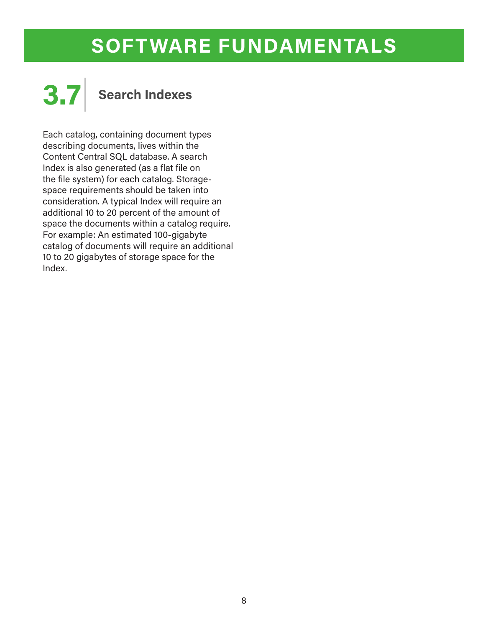

Each catalog, containing document types describing documents, lives within the Content Central SQL database. A search Index is also generated (as a flat file on the file system) for each catalog. Storagespace requirements should be taken into consideration. A typical Index will require an additional 10 to 20 percent of the amount of space the documents within a catalog require. For example: An estimated 100-gigabyte catalog of documents will require an additional 10 to 20 gigabytes of storage space for the Index.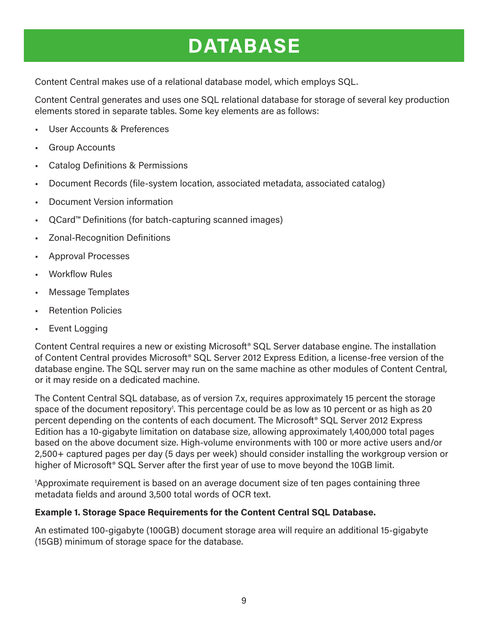## **DATABASE**

Content Central makes use of a relational database model, which employs SQL.

Content Central generates and uses one SQL relational database for storage of several key production elements stored in separate tables. Some key elements are as follows:

- User Accounts & Preferences
- Group Accounts
- Catalog Definitions & Permissions
- Document Records (file-system location, associated metadata, associated catalog)
- Document Version information
- QCard™ Definitions (for batch-capturing scanned images)
- Zonal-Recognition Definitions
- Approval Processes
- Workflow Rules
- Message Templates
- Retention Policies
- **Event Logging**

Content Central requires a new or existing Microsoft® SQL Server database engine. The installation of Content Central provides Microsoft® SQL Server 2012 Express Edition, a license-free version of the database engine. The SQL server may run on the same machine as other modules of Content Central, or it may reside on a dedicated machine.

The Content Central SQL database, as of version 7.x, requires approximately 15 percent the storage space of the document repository<sup>1</sup>. This percentage could be as low as 10 percent or as high as 20 percent depending on the contents of each document. The Microsoft® SQL Server 2012 Express Edition has a 10-gigabyte limitation on database size, allowing approximately 1,400,000 total pages based on the above document size. High-volume environments with 100 or more active users and/or 2,500+ captured pages per day (5 days per week) should consider installing the workgroup version or higher of Microsoft<sup>®</sup> SQL Server after the first year of use to move beyond the 10GB limit.

1 Approximate requirement is based on an average document size of ten pages containing three metadata fields and around 3,500 total words of OCR text.

#### **Example 1. Storage Space Requirements for the Content Central SQL Database.**

An estimated 100-gigabyte (100GB) document storage area will require an additional 15-gigabyte (15GB) minimum of storage space for the database.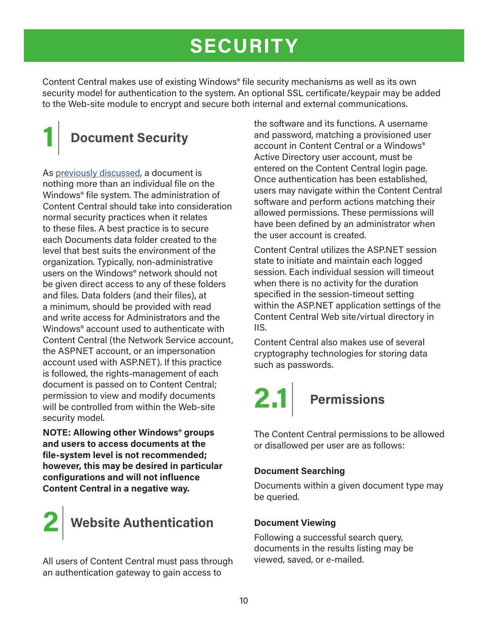## **SECURITY**

Content Central makes use of existing Windows® file security mechanisms as well as its own security model for authentication to the system. An optional SSL certificate/keypair may be added to the Web-site module to encrypt and secure both internal and external communications.

## **1**| **Document Security**

As previously discussed, a document is nothing more than an individual file on the Windows® file system. The administration of Content Central should take into consideration normal security practices when it relates to these files. A best practice is to secure each Documents data folder created to the level that best suits the environment of the organization. Typically, non-administrative users on the Windows® network should not be given direct access to any of these folders and files. Data folders (and their files), at a minimum, should be provided with read and write access for Administrators and the Windows® account used to authenticate with Content Central (the Network Service account, the ASPNET account, or an impersonation account used with ASP.NET). If this practice is followed, the rights-management of each document is passed on to Content Central; permission to view and modify documents will be controlled from within the Web-site security model.

**NOTE: Allowing other Windows® groups and users to access documents at the file-system level is not recommended; however, this may be desired in particular configurations and will not influence Content Central in a negative way.**



All users of Content Central must pass through an authentication gateway to gain access to

the software and its functions. A username and password, matching a provisioned user account in Content Central or a Windows® Active Directory user account, must be entered on the Content Central login page. Once authentication has been established, users may navigate within the Content Central software and perform actions matching their allowed permissions. These permissions will have been defined by an administrator when the user account is created.

Content Central utilizes the ASP.NET session state to initiate and maintain each logged session. Each individual session will timeout when there is no activity for the duration specified in the session-timeout setting within the ASP.NET application settings of the Content Central Web site/virtual directory in IIS.

Content Central also makes use of several cryptography technologies for storing data such as passwords.

# **2.1**| **Permissions**

The Content Central permissions to be allowed or disallowed per user are as follows:

### **Document Searching**

Documents within a given document type may be queried.

### **Document Viewing**

Following a successful search query, documents in the results listing may be viewed, saved, or e-mailed.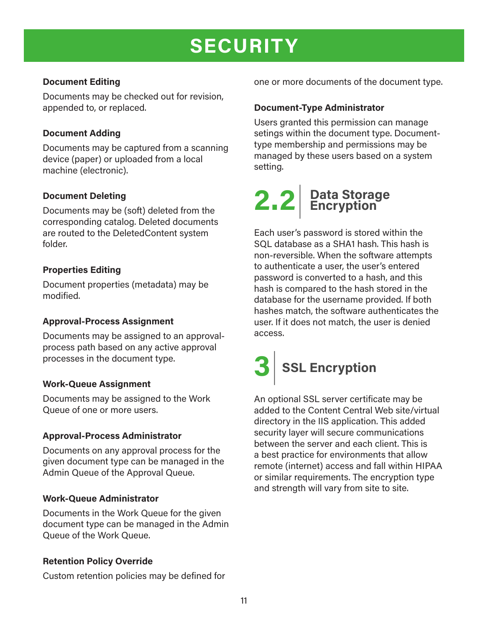## **SECURITY**

### **Document Editing**

Documents may be checked out for revision, appended to, or replaced.

### **Document Adding**

Documents may be captured from a scanning device (paper) or uploaded from a local machine (electronic).

#### **Document Deleting**

Documents may be (soft) deleted from the corresponding catalog. Deleted documents are routed to the DeletedContent system folder.

### **Properties Editing**

Document properties (metadata) may be modified.

#### **Approval-Process Assignment**

Documents may be assigned to an approvalprocess path based on any active approval processes in the document type.

#### **Work-Queue Assignment**

Documents may be assigned to the Work Queue of one or more users.

#### **Approval-Process Administrator**

Documents on any approval process for the given document type can be managed in the Admin Queue of the Approval Queue.

#### **Work-Queue Administrator**

Documents in the Work Queue for the given document type can be managed in the Admin Queue of the Work Queue.

#### **Retention Policy Override**

Custom retention policies may be defined for

one or more documents of the document type.

### **Document-Type Administrator**

Users granted this permission can manage setings within the document type. Documenttype membership and permissions may be managed by these users based on a system setting.

# **2.2**| **Data Storage Encryption**

Each user's password is stored within the SQL database as a SHA1 hash. This hash is non-reversible. When the software attempts to authenticate a user, the user's entered password is converted to a hash, and this hash is compared to the hash stored in the database for the username provided. If both hashes match, the software authenticates the user. If it does not match, the user is denied access.



An optional SSL server certificate may be added to the Content Central Web site/virtual directory in the IIS application. This added security layer will secure communications between the server and each client. This is a best practice for environments that allow remote (internet) access and fall within HIPAA or similar requirements. The encryption type and strength will vary from site to site.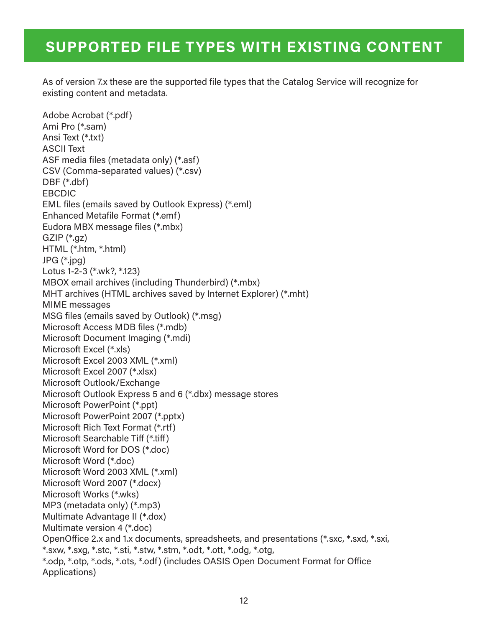### **SUPPORTED FILE TYPES WITH EXISTING CONTENT**

As of version 7.x these are the supported file types that the Catalog Service will recognize for existing content and metadata.

Adobe Acrobat (\*.pdf) Ami Pro (\*.sam) Ansi Text (\*.txt) ASCII Text ASF media files (metadata only) (\*.asf) CSV (Comma-separated values) (\*.csv) DBF (\*.dbf) EBCDIC EML files (emails saved by Outlook Express) (\*.eml) Enhanced Metafile Format (\*.emf) Eudora MBX message files (\*.mbx) GZIP (\*.gz) HTML (\*.htm, \*.html) JPG (\*.jpg) Lotus 1-2-3 (\*.wk?, \*.123) MBOX email archives (including Thunderbird) (\*.mbx) MHT archives (HTML archives saved by Internet Explorer) (\*.mht) MIME messages MSG files (emails saved by Outlook) (\*.msg) Microsoft Access MDB files (\*.mdb) Microsoft Document Imaging (\*.mdi) Microsoft Excel (\*.xls) Microsoft Excel 2003 XML (\*.xml) Microsoft Excel 2007 (\*.xlsx) Microsoft Outlook/Exchange Microsoft Outlook Express 5 and 6 (\*.dbx) message stores Microsoft PowerPoint (\*.ppt) Microsoft PowerPoint 2007 (\*.pptx) Microsoft Rich Text Format (\*.rtf) Microsoft Searchable Tiff (\*.tiff) Microsoft Word for DOS (\*.doc) Microsoft Word (\*.doc) Microsoft Word 2003 XML (\*.xml) Microsoft Word 2007 (\*.docx) Microsoft Works (\*.wks) MP3 (metadata only) (\*.mp3) Multimate Advantage II (\*.dox) Multimate version 4 (\*.doc) OpenOffice 2.x and 1.x documents, spreadsheets, and presentations (\*.sxc, \*.sxd, \*.sxi, \*.sxw, \*.sxg, \*.stc, \*.sti, \*.stw, \*.stm, \*.odt, \*.ott, \*.odg, \*.otg, \*.odp, \*.otp, \*.ods, \*.ots, \*.odf) (includes OASIS Open Document Format for Office Applications)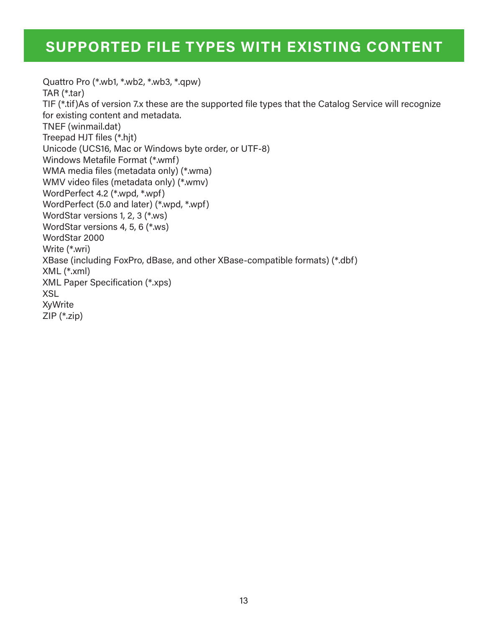### **SUPPORTED FILE TYPES WITH EXISTING CONTENT**

Quattro Pro (\*.wb1, \*.wb2, \*.wb3, \*.qpw) TAR (\*.tar) TIF (\*.tif)As of version 7.x these are the supported file types that the Catalog Service will recognize for existing content and metadata. TNEF (winmail.dat) Treepad HJT files (\*.hjt) Unicode (UCS16, Mac or Windows byte order, or UTF-8) Windows Metafile Format (\*.wmf) WMA media files (metadata only) (\*.wma) WMV video files (metadata only) (\*.wmv) WordPerfect 4.2 (\*.wpd, \*.wpf) WordPerfect (5.0 and later) (\*.wpd, \*.wpf) WordStar versions 1, 2, 3 (\*.ws) WordStar versions 4, 5, 6 (\*.ws) WordStar 2000 Write (\*.wri) XBase (including FoxPro, dBase, and other XBase-compatible formats) (\*.dbf) XML (\*.xml) XML Paper Specification (\*.xps) XSL **XyWrite** ZIP (\*.zip)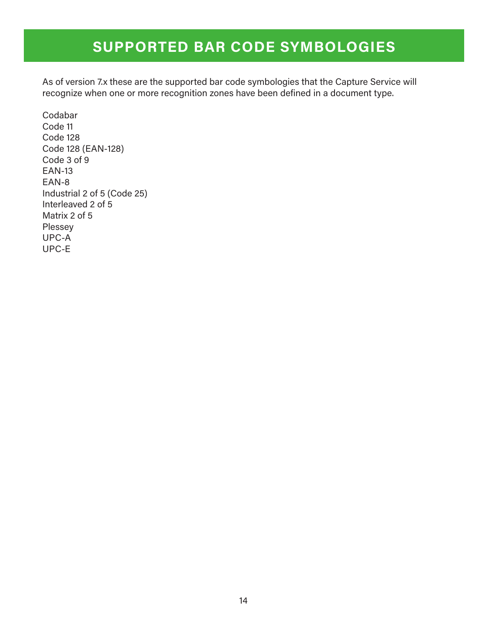### **SUPPORTED BAR CODE SYMBOLOGIES**

As of version 7.x these are the supported bar code symbologies that the Capture Service will recognize when one or more recognition zones have been defined in a document type.

Codabar Code 11 Code 128 Code 128 (EAN-128) Code 3 of 9 EAN-13 EAN-8 Industrial 2 of 5 (Code 25) Interleaved 2 of 5 Matrix 2 of 5 Plessey UPC-A UPC-E